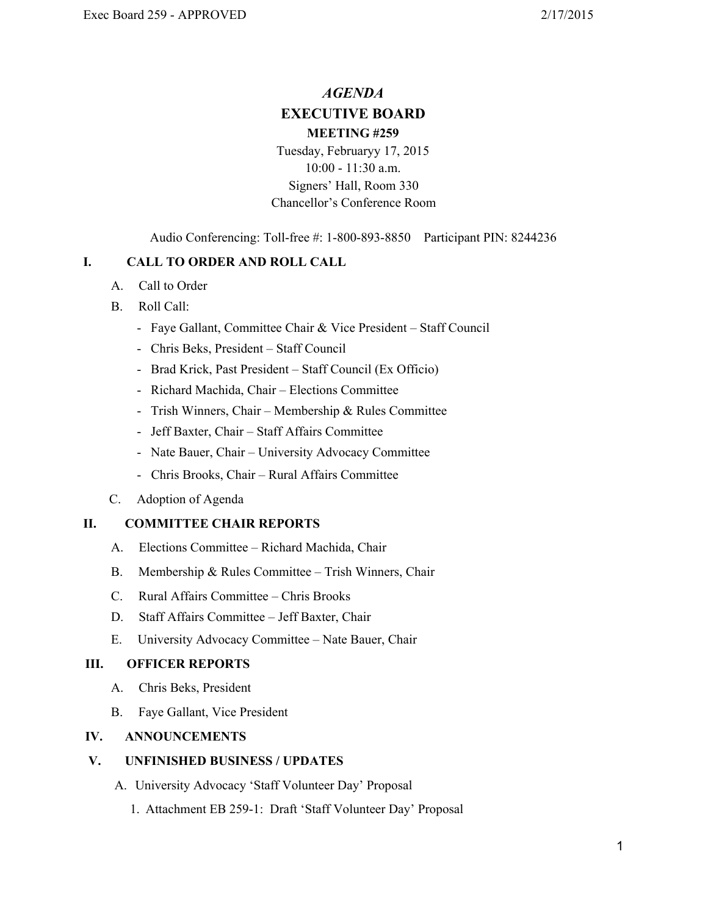# *AGENDA* **EXECUTIVE BOARD MEETING #259**

Tuesday, Februaryy 17, 2015 10:00 11:30 a.m. Signers' Hall, Room 330 Chancellor's Conference Room

Audio Conferencing: Toll-free #: 1-800-893-8850 Participant PIN: 8244236

## **I. CALL TO ORDER AND ROLL CALL**

- A. Call to Order
- B. Roll Call:
	- Faye Gallant, Committee Chair & Vice President Staff Council
	- Chris Beks, President Staff Council
	- Brad Krick, Past President Staff Council (Ex Officio)
	- Richard Machida, Chair Elections Committee
	- Trish Winners, Chair Membership & Rules Committee
	- Jeff Baxter, Chair Staff Affairs Committee
	- Nate Bauer, Chair University Advocacy Committee
	- Chris Brooks, Chair Rural Affairs Committee
- C. Adoption of Agenda

### **II. COMMITTEECHAIR REPORTS**

- A. Elections Committee Richard Machida, Chair
- B. Membership & Rules Committee Trish Winners, Chair
- C. Rural Affairs Committee Chris Brooks
- D. Staff Affairs Committee Jeff Baxter, Chair
- E. University Advocacy Committee Nate Bauer, Chair

### **III. OFFICER REPORTS**

- A. Chris Beks, President
- B. Faye Gallant, Vice President

### **IV. ANNOUNCEMENTS**

### **V. UNFINISHED BUSINESS / UPDATES**

- A. University Advocacy 'Staff Volunteer Day' Proposal
	- 1. Attachment EB 259-1: Draft 'Staff Volunteer Day' Proposal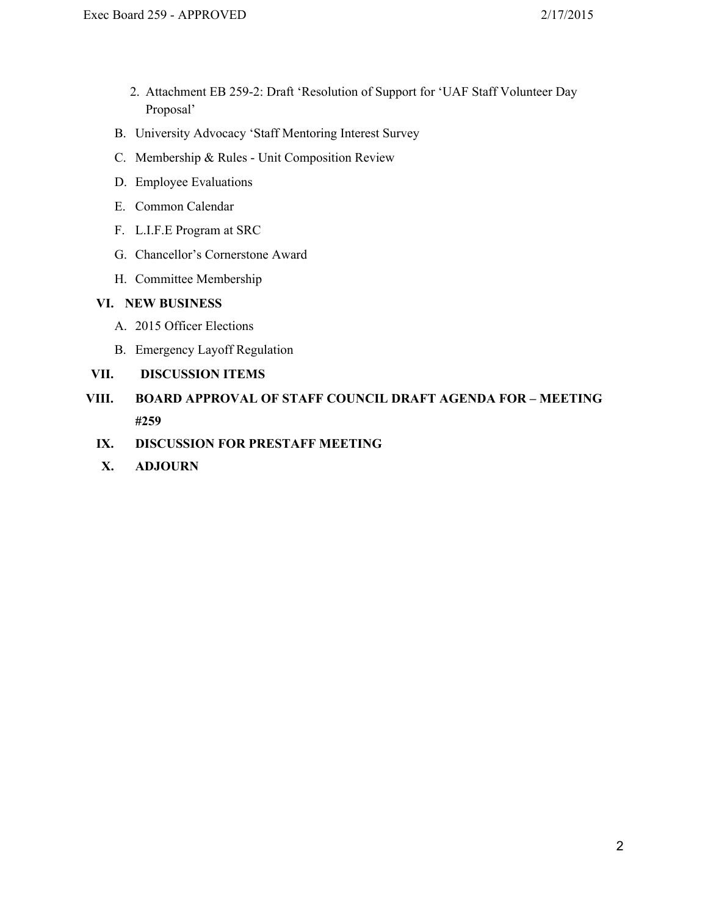- 2. Attachment EB 259-2: Draft 'Resolution of Support for 'UAF Staff Volunteer Day Proposal'
- B. University Advocacy 'Staff Mentoring Interest Survey
- C. Membership & Rules Unit Composition Review
- D. Employee Evaluations
- E. Common Calendar
- F. L.I.F.E Program at SRC
- G. Chancellor's Cornerstone Award
- H. Committee Membership

## **VI. NEW BUSINESS**

- A. 2015 Officer Elections
- B. Emergency Layoff Regulation

## **VII. DISCUSSION ITEMS**

- **VIII. BOARD APPROVAL OF STAFF COUNCIL DRAFT AGENDA FOR – MEETING #259**
	- **IX. DISCUSSION FOR PRESTAFF MEETING**
	- **X. ADJOURN**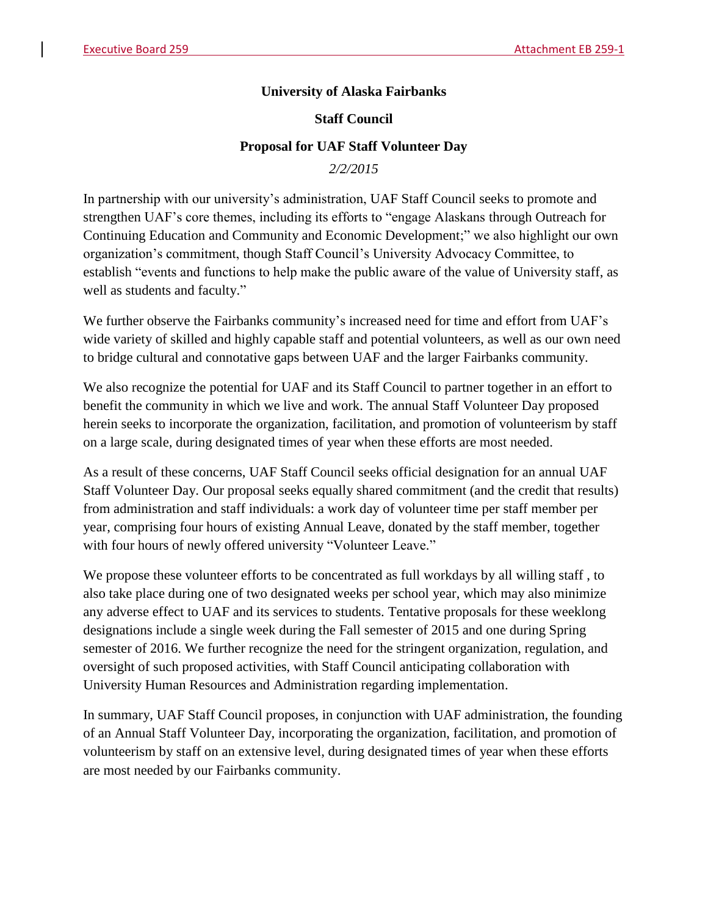# **University of Alaska Fairbanks**

# **Staff Council**

# **Proposal for UAF Staff Volunteer Day**

*2/2/2015*

In partnership with our university's administration, UAF Staff Council seeks to promote and strengthen UAF's core themes, including its efforts to "engage Alaskans through Outreach for Continuing Education and Community and Economic Development;" we also highlight our own organization's commitment, though Staff Council's University Advocacy Committee, to establish "events and functions to help make the public aware of the value of University staff, as well as students and faculty."

We further observe the Fairbanks community's increased need for time and effort from UAF's wide variety of skilled and highly capable staff and potential volunteers, as well as our own need to bridge cultural and connotative gaps between UAF and the larger Fairbanks community.

We also recognize the potential for UAF and its Staff Council to partner together in an effort to benefit the community in which we live and work. The annual Staff Volunteer Day proposed herein seeks to incorporate the organization, facilitation, and promotion of volunteerism by staff on a large scale, during designated times of year when these efforts are most needed.

As a result of these concerns, UAF Staff Council seeks official designation for an annual UAF Staff Volunteer Day. Our proposal seeks equally shared commitment (and the credit that results) from administration and staff individuals: a work day of volunteer time per staff member per year, comprising four hours of existing Annual Leave, donated by the staff member, together with four hours of newly offered university "Volunteer Leave."

We propose these volunteer efforts to be concentrated as full workdays by all willing staff , to also take place during one of two designated weeks per school year, which may also minimize any adverse effect to UAF and its services to students. Tentative proposals for these weeklong designations include a single week during the Fall semester of 2015 and one during Spring semester of 2016. We further recognize the need for the stringent organization, regulation, and oversight of such proposed activities, with Staff Council anticipating collaboration with University Human Resources and Administration regarding implementation.

In summary, UAF Staff Council proposes, in conjunction with UAF administration, the founding of an Annual Staff Volunteer Day, incorporating the organization, facilitation, and promotion of volunteerism by staff on an extensive level, during designated times of year when these efforts are most needed by our Fairbanks community.